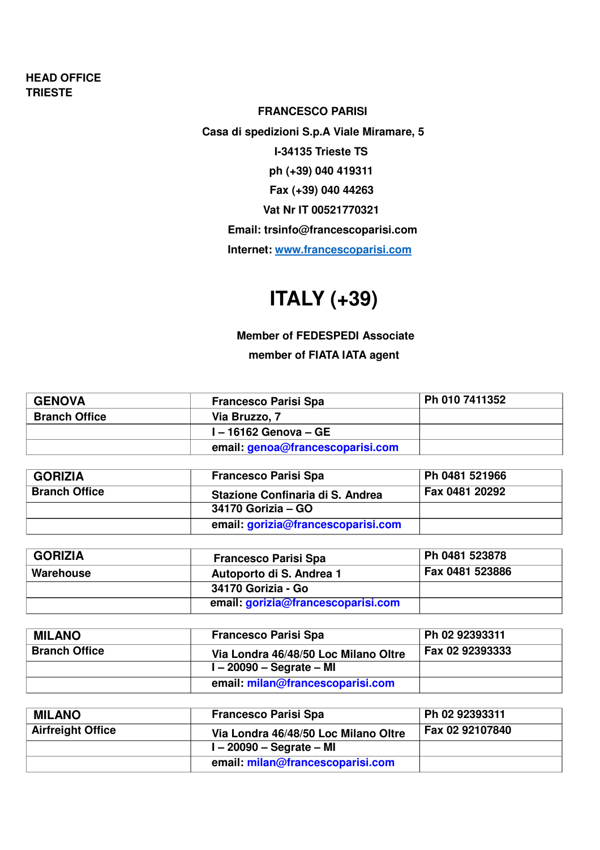#### **HEAD OFFICE TRIESTE**

#### **FRANCESCO PARISI**

**Casa di spedizioni S.p.A Viale Miramare, 5 I-34135 Trieste TS ph (+39) 040 419311 Fax (+39) 040 44263 Vat Nr IT 00521770321 Email: trsinfo@francescoparisi.com Internet: www.francescoparisi.com**

## **ITALY (+39)**

**Member of FEDESPEDI Associate member of FIATA IATA agent**

| <b>GENOVA</b>        | <b>Francesco Parisi Spa</b>      | Ph 010 7411352 |
|----------------------|----------------------------------|----------------|
| <b>Branch Office</b> | Via Bruzzo, 7                    |                |
|                      | I – 16162 Genova – GE            |                |
|                      | email: genoa@francescoparisi.com |                |

| <b>GORIZIA</b>       | <b>Francesco Parisi Spa</b>        | Ph 0481 521966 |
|----------------------|------------------------------------|----------------|
| <b>Branch Office</b> | Stazione Confinaria di S. Andrea   | Fax 0481 20292 |
|                      | 34170 Gorizia – GO                 |                |
|                      | email: gorizia@francescoparisi.com |                |

| <b>GORIZIA</b> | <b>Francesco Parisi Spa</b>        | Ph 0481 523878  |
|----------------|------------------------------------|-----------------|
| Warehouse      | Autoporto di S. Andrea 1           | Fax 0481 523886 |
|                | 34170 Gorizia - Go                 |                 |
|                | email: gorizia@francescoparisi.com |                 |

| <b>MILANO</b>        | <b>Francesco Parisi Spa</b>          | Ph 02 92393311  |
|----------------------|--------------------------------------|-----------------|
| <b>Branch Office</b> | Via Londra 46/48/50 Loc Milano Oltre | Fax 02 92393333 |
|                      | $I - 20090 -$ Segrate – MI           |                 |
|                      | email: milan@francescoparisi.com     |                 |

| <b>MILANO</b>            | <b>Francesco Parisi Spa</b>          | Ph 02 92393311  |
|--------------------------|--------------------------------------|-----------------|
| <b>Airfreight Office</b> | Via Londra 46/48/50 Loc Milano Oltre | Fax 02 92107840 |
|                          | $I - 20090 -$ Segrate – MI           |                 |
|                          | email: milan@francescoparisi.com     |                 |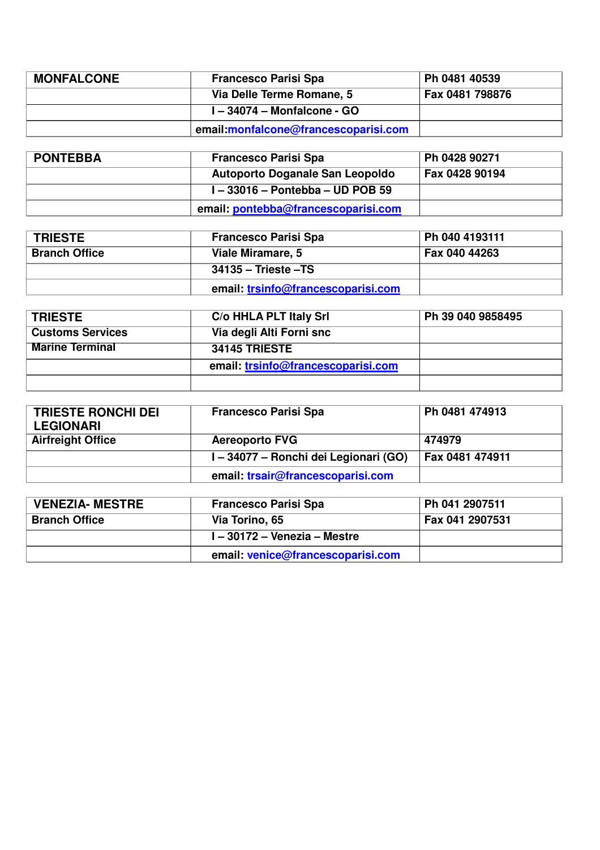| <b>MONFALCONE</b> | <b>Francesco Parisi Spa</b>          | Ph 0481 40539   |
|-------------------|--------------------------------------|-----------------|
|                   | Via Delle Terme Romane, 5            | Fax 0481 798876 |
|                   | I-34074 - Monfalcone - GO            |                 |
|                   | email:monfalcone@francescoparisi.com |                 |

| <b>PONTEBBA</b> | <b>Francesco Parisi Spa</b>            | Ph 0428 90271  |
|-----------------|----------------------------------------|----------------|
|                 | <b>Autoporto Doganale San Leopoldo</b> | Fax 0428 90194 |
|                 | $I - 33016 - Pontebba - UD POB 59$     |                |
|                 | email: pontebba@francescoparisi.com    |                |

| <b>TRIESTE</b>       | <b>Francesco Parisi Spa</b>        | Ph 040 4193111 |
|----------------------|------------------------------------|----------------|
| <b>Branch Office</b> | Viale Miramare, 5                  | Fax 040 44263  |
|                      | 34135 – Trieste –TS                |                |
|                      | email: trsinfo@francescoparisi.com |                |

| <b>TRIESTE</b>          | C/o HHLA PLT Italy Srl             | Ph 39 040 9858495 |
|-------------------------|------------------------------------|-------------------|
| <b>Customs Services</b> | Via degli Alti Forni snc           |                   |
| <b>Marine Terminal</b>  | <b>34145 TRIESTE</b>               |                   |
|                         | email: trsinfo@francescoparisi.com |                   |
|                         |                                    |                   |

| <b>TRIESTE RONCHI DEI</b> | <b>Francesco Parisi Spa</b>           | Ph 0481 474913  |
|---------------------------|---------------------------------------|-----------------|
| <b>LEGIONARI</b>          |                                       |                 |
| <b>Airfreight Office</b>  | <b>Aereoporto FVG</b>                 | 474979          |
|                           | I – 34077 – Ronchi dei Legionari (GO) | Fax 0481 474911 |
|                           | email: trsair@francescoparisi.com     |                 |

| <b>VENEZIA- MESTRE</b> | <b>Francesco Parisi Spa</b>       | Ph 041 2907511                |
|------------------------|-----------------------------------|-------------------------------|
| <b>Branch Office</b>   | Via Torino, 65                    | $\frac{1}{2}$ Fax 041 2907531 |
|                        | 1 – 30172 – Venezia – Mestre      |                               |
|                        | email: venice@francescoparisi.com |                               |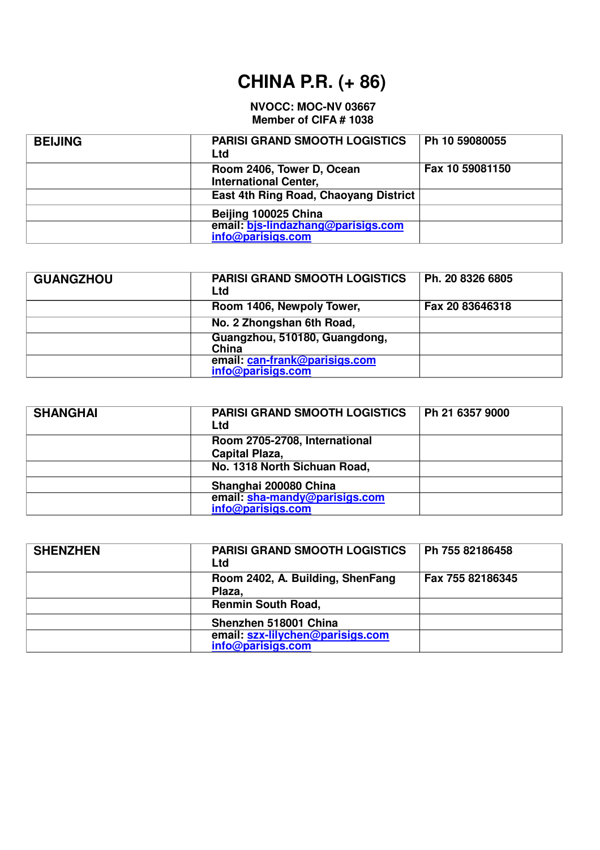## **CHINA P.R. (+ 86)**

#### **NVOCC: MOC-NV 03667 Member of CIFA # 1038**

| <b>BEIJING</b> | <b>PARISI GRAND SMOOTH LOGISTICS</b><br>Ltd               | Ph 10 59080055  |
|----------------|-----------------------------------------------------------|-----------------|
|                | Room 2406, Tower D, Ocean<br><b>International Center,</b> | Fax 10 59081150 |
|                | East 4th Ring Road, Chaoyang District                     |                 |
|                | Beijing 100025 China                                      |                 |
|                | email: bjs-lindazhang@parisigs.com<br>info@parisigs.com   |                 |

| <b>GUANGZHOU</b> | <b>PARISI GRAND SMOOTH LOGISTICS</b><br>Ltd        | Ph. 20 8326 6805 |
|------------------|----------------------------------------------------|------------------|
|                  | Room 1406, Newpoly Tower,                          | Fax 20 83646318  |
|                  | No. 2 Zhongshan 6th Road,                          |                  |
|                  | Guangzhou, 510180, Guangdong,<br>China             |                  |
|                  | email: can-frank@parisigs.com<br>info@parisigs.com |                  |

| <b>SHANGHAI</b> | <b>PARISI GRAND SMOOTH LOGISTICS</b><br>Ltd            | Ph 21 6357 9000 |
|-----------------|--------------------------------------------------------|-----------------|
|                 | Room 2705-2708, International<br><b>Capital Plaza,</b> |                 |
|                 | No. 1318 North Sichuan Road,                           |                 |
|                 | Shanghai 200080 China                                  |                 |
|                 | email: sha-mandy@parisigs.com<br>info@parisigs.com     |                 |

| <b>SHENZHEN</b> | <b>PARISI GRAND SMOOTH LOGISTICS</b><br>Ltd           | Ph 755 82186458  |
|-----------------|-------------------------------------------------------|------------------|
|                 | Room 2402, A. Building, ShenFang<br>Plaza,            | Fax 755 82186345 |
|                 | <b>Renmin South Road,</b>                             |                  |
|                 | Shenzhen 518001 China                                 |                  |
|                 | email: szx-lilychen@parisigs.com<br>info@parisigs.com |                  |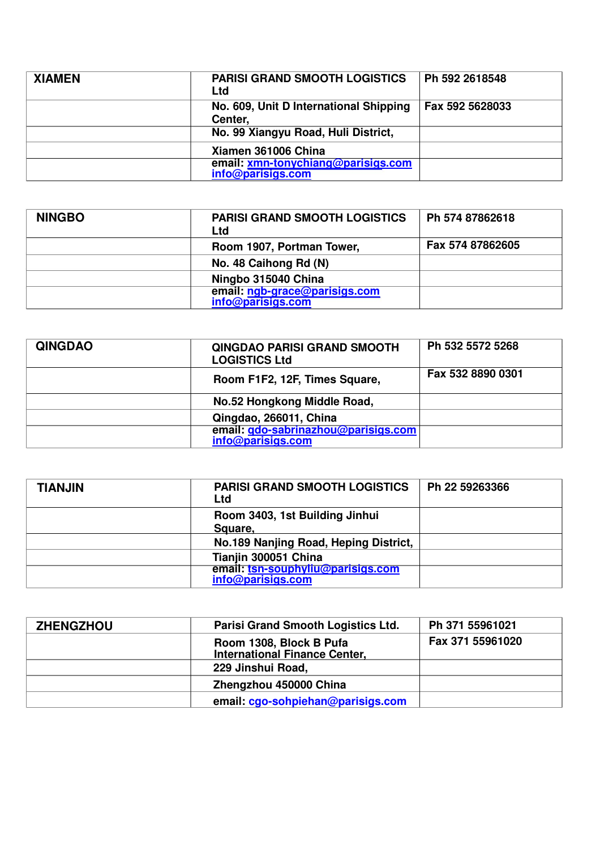| <b>XIAMEN</b> | <b>PARISI GRAND SMOOTH LOGISTICS</b><br>Ltd             | Ph 592 2618548  |
|---------------|---------------------------------------------------------|-----------------|
|               | No. 609, Unit D International Shipping<br>Center,       | Fax 592 5628033 |
|               | No. 99 Xiangyu Road, Huli District,                     |                 |
|               | Xiamen 361006 China                                     |                 |
|               | email: xmn-tonychiang@parisigs.com<br>info@parisigs.com |                 |

| <b>NINGBO</b> | <b>PARISI GRAND SMOOTH LOGISTICS</b><br>Ltd        | Ph 574 87862618  |
|---------------|----------------------------------------------------|------------------|
|               | Room 1907, Portman Tower,                          | Fax 574 87862605 |
|               | No. 48 Caihong Rd (N)                              |                  |
|               | Ningbo 315040 China                                |                  |
|               | email: ngb-grace@parisigs.com<br>info@parisigs.com |                  |

| <b>QINGDAO</b> | <b>QINGDAO PARISI GRAND SMOOTH</b><br><b>LOGISTICS Ltd</b> | Ph 532 5572 5268  |
|----------------|------------------------------------------------------------|-------------------|
|                | Room F1F2, 12F, Times Square,                              | Fax 532 8890 0301 |
|                | No.52 Hongkong Middle Road,                                |                   |
|                | Qingdao, 266011, China                                     |                   |
|                | email: gdo-sabrinazhou@parisigs.com<br>info@parisigs.com   |                   |

| <b>TIANJIN</b> | <b>PARISI GRAND SMOOTH LOGISTICS</b><br><b>Ltd</b>     | Ph 22 59263366 |
|----------------|--------------------------------------------------------|----------------|
|                | Room 3403, 1st Building Jinhui<br>Square,              |                |
|                | No.189 Nanjing Road, Heping District,                  |                |
|                | Tianjin 300051 China                                   |                |
|                | email: tsn-souphyliu@parisigs.com<br>info@parisigs.com |                |

| <b>ZHENGZHOU</b> | Parisi Grand Smooth Logistics Ltd.                              | Ph 371 55961021  |
|------------------|-----------------------------------------------------------------|------------------|
|                  | Room 1308, Block B Pufa<br><b>International Finance Center,</b> | Fax 371 55961020 |
|                  | 229 Jinshui Road,                                               |                  |
|                  | Zhengzhou 450000 China                                          |                  |
|                  | email: cgo-sohpiehan@parisigs.com                               |                  |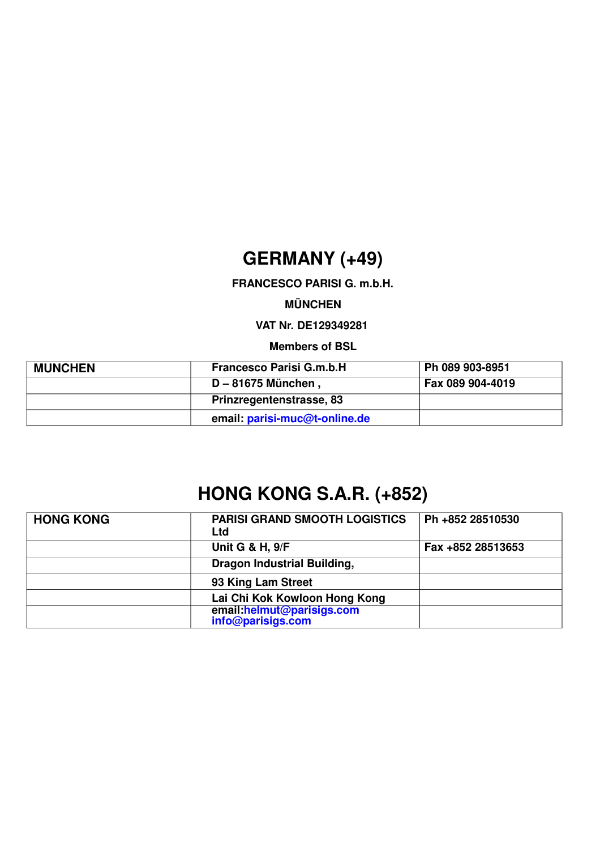### **GERMANY (+49)**

**FRANCESCO PARISI G. m.b.H.** 

**MÜNCHEN**

**VAT Nr. DE129349281**

**Members of BSL**

| <b>MUNCHEN</b> | <b>Francesco Parisi G.m.b.H</b> | Ph 089 903-8951  |
|----------------|---------------------------------|------------------|
|                | D-81675 München,                | Fax 089 904-4019 |
|                | Prinzregentenstrasse, 83        |                  |
|                | email: parisi-muc@t-online.de   |                  |

## **HONG KONG S.A.R. (+852)**

| <b>HONG KONG</b> | <b>PARISI GRAND SMOOTH LOGISTICS</b><br><b>Ltd</b> | Ph +852 28510530  |
|------------------|----------------------------------------------------|-------------------|
|                  | <b>Unit G &amp; H, 9/F</b>                         | Fax +852 28513653 |
|                  | <b>Dragon Industrial Building,</b>                 |                   |
|                  | 93 King Lam Street                                 |                   |
|                  | Lai Chi Kok Kowloon Hong Kong                      |                   |
|                  | email:helmut@parisigs.com<br>info@parisigs.com     |                   |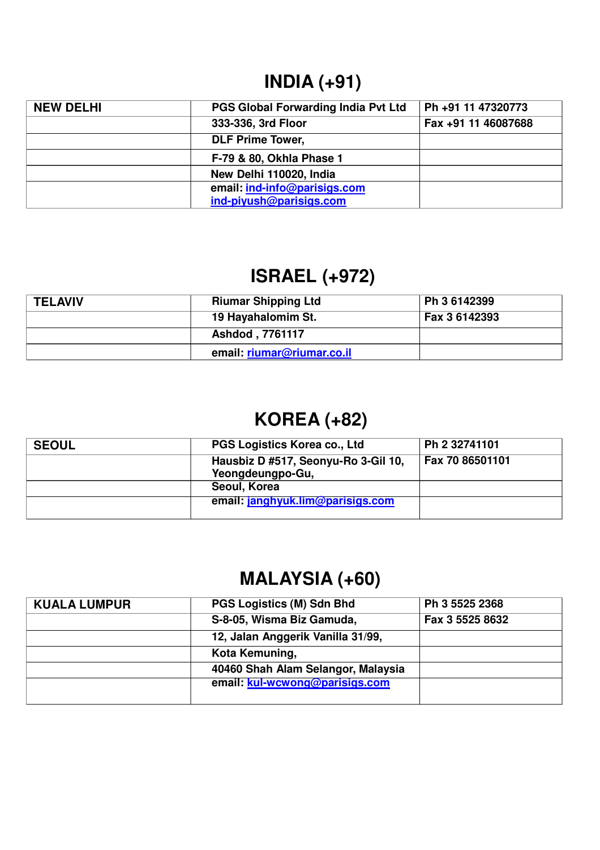### **INDIA (+91)**

| <b>NEW DELHI</b> | <b>PGS Global Forwarding India Pvt Ltd</b> | Ph +91 11 47320773  |
|------------------|--------------------------------------------|---------------------|
|                  | 333-336, 3rd Floor                         | Fax +91 11 46087688 |
|                  | <b>DLF Prime Tower,</b>                    |                     |
|                  | F-79 & 80, Okhla Phase 1                   |                     |
|                  | New Delhi 110020, India                    |                     |
|                  | email: ind-info@parisigs.com               |                     |
|                  | ind-piyush@parisigs.com                    |                     |

# **ISRAEL (+972)**

| <b>TELAVIV</b> | <b>Riumar Shipping Ltd</b> | Ph 3 6142399  |
|----------------|----------------------------|---------------|
|                | 19 Hayahalomim St.         | Fax 3 6142393 |
|                | Ashdod, 7761117            |               |
|                | email: riumar@riumar.co.il |               |

## **KOREA (+82)**

| <b>SEOUL</b> | PGS Logistics Korea co., Ltd                            | Ph 2 32741101   |
|--------------|---------------------------------------------------------|-----------------|
|              | Hausbiz D #517, Seonyu-Ro 3-Gil 10,<br>Yeongdeungpo-Gu, | Fax 70 86501101 |
|              | Seoul, Korea                                            |                 |
|              | email: janghyuk.lim@parisigs.com                        |                 |

## **MALAYSIA (+60)**

| <b>KUALA LUMPUR</b> | <b>PGS Logistics (M) Sdn Bhd</b>   | Ph 3 5525 2368  |
|---------------------|------------------------------------|-----------------|
|                     | S-8-05, Wisma Biz Gamuda,          | Fax 3 5525 8632 |
|                     | 12, Jalan Anggerik Vanilla 31/99,  |                 |
|                     | Kota Kemuning,                     |                 |
|                     | 40460 Shah Alam Selangor, Malaysia |                 |
|                     | email: kul-wcwong@parisigs.com     |                 |
|                     |                                    |                 |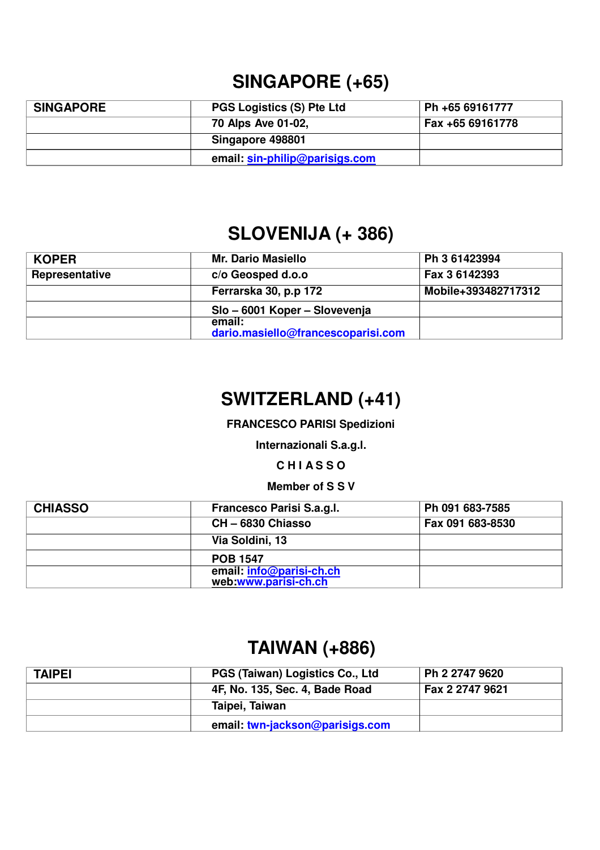### **SINGAPORE (+65)**

| <b>SINGAPORE</b> | <b>PGS Logistics (S) Pte Ltd</b> | Ph +65 69161777  |
|------------------|----------------------------------|------------------|
|                  | 70 Alps Ave 01-02,               | Fax +65 69161778 |
|                  | Singapore 498801                 |                  |
|                  | email: sin-philip@parisigs.com   |                  |

#### **SLOVENIJA (+ 386)**

| <b>KOPER</b>   | <b>Mr. Dario Masiello</b>                    | Ph 3 61423994       |
|----------------|----------------------------------------------|---------------------|
| Representative | c/o Geosped d.o.o                            | Fax 3 6142393       |
|                | Ferrarska 30, p.p 172                        | Mobile+393482717312 |
|                | Slo - 6001 Koper - Slovevenja                |                     |
|                | email:<br>dario.masiello@francescoparisi.com |                     |

### **SWITZERLAND (+41)**

**FRANCESCO PARISI Spedizioni** 

**Internazionali S.a.g.l.**

**C H I A S S O**

#### **Member of S S V**

| <b>CHIASSO</b> | Francesco Parisi S.a.g.l.                        | Ph 091 683-7585  |
|----------------|--------------------------------------------------|------------------|
|                | CH-6830 Chiasso                                  | Fax 091 683-8530 |
|                | Via Soldini, 13                                  |                  |
|                | <b>POB 1547</b>                                  |                  |
|                | email: info@parisi-ch.ch<br>web:www.parisi-ch.ch |                  |

#### **TAIWAN (+886)**

| <b>TAIPEI</b> | PGS (Taiwan) Logistics Co., Ltd | Ph 2 2747 9620  |
|---------------|---------------------------------|-----------------|
|               | 4F, No. 135, Sec. 4, Bade Road  | Fax 2 2747 9621 |
|               | Taipei, Taiwan                  |                 |
|               | email: twn-jackson@parisigs.com |                 |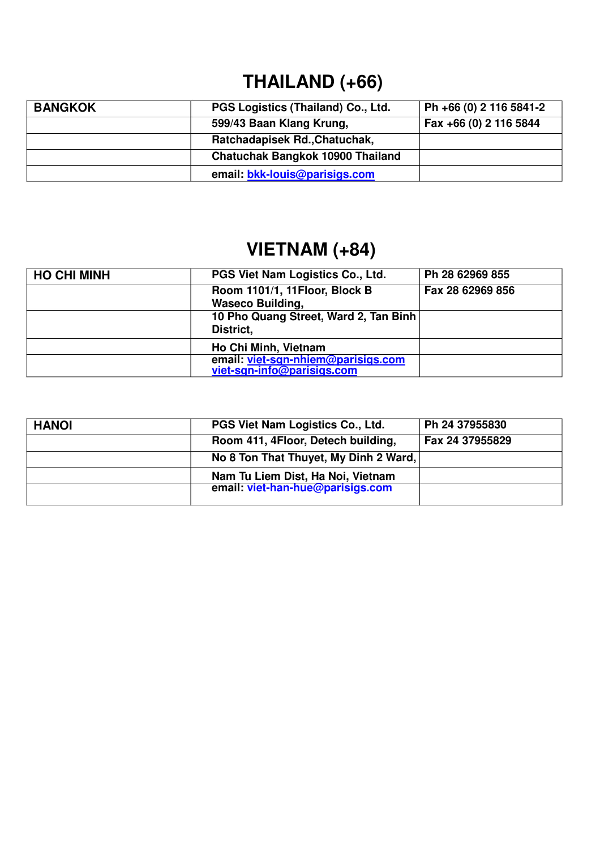## **THAILAND (+66)**

| <b>BANGKOK</b> | PGS Logistics (Thailand) Co., Ltd.      | Ph +66 (0) 2 116 5841-2 |
|----------------|-----------------------------------------|-------------------------|
|                | 599/43 Baan Klang Krung,                | Fax +66 (0) 2 116 5844  |
|                | Ratchadapisek Rd., Chatuchak,           |                         |
|                | <b>Chatuchak Bangkok 10900 Thailand</b> |                         |
|                | email: bkk-louis@parisigs.com           |                         |

# **VIETNAM (+84)**

| <b>HO CHI MINH</b> | PGS Viet Nam Logistics Co., Ltd.      | Ph 28 62969 855  |
|--------------------|---------------------------------------|------------------|
|                    | Room 1101/1, 11Floor, Block B         | Fax 28 62969 856 |
|                    | <b>Waseco Building,</b>               |                  |
|                    | 10 Pho Quang Street, Ward 2, Tan Binh |                  |
|                    | District,                             |                  |
|                    | Ho Chi Minh, Vietnam                  |                  |
|                    | email: viet-sgn-nhiem@parisigs.com    |                  |
|                    | viet-sqn-info@parisigs.com            |                  |

| <b>HANOI</b> | PGS Viet Nam Logistics Co., Ltd.      | Ph 24 37955830  |
|--------------|---------------------------------------|-----------------|
|              | Room 411, 4Floor, Detech building,    | Fax 24 37955829 |
|              | No 8 Ton That Thuyet, My Dinh 2 Ward, |                 |
|              | Nam Tu Liem Dist, Ha Noi, Vietnam     |                 |
|              | email: viet-han-hue@parisigs.com      |                 |